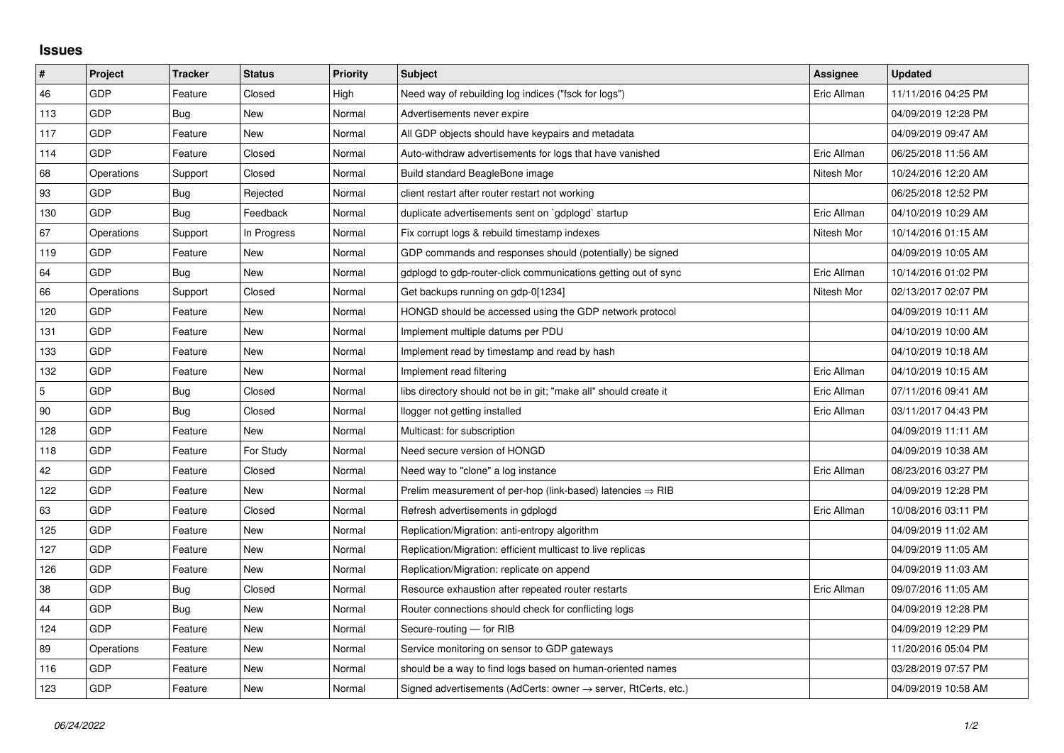## **Issues**

| $\vert$ #      | Project    | <b>Tracker</b> | <b>Status</b> | <b>Priority</b> | <b>Subject</b>                                                             | Assignee    | <b>Updated</b>      |
|----------------|------------|----------------|---------------|-----------------|----------------------------------------------------------------------------|-------------|---------------------|
| 46             | GDP        | Feature        | Closed        | High            | Need way of rebuilding log indices ("fsck for logs")                       | Eric Allman | 11/11/2016 04:25 PM |
| 113            | GDP        | Bug            | New           | Normal          | Advertisements never expire                                                |             | 04/09/2019 12:28 PM |
| 117            | GDP        | Feature        | New           | Normal          | All GDP objects should have keypairs and metadata                          |             | 04/09/2019 09:47 AM |
| 114            | GDP        | Feature        | Closed        | Normal          | Auto-withdraw advertisements for logs that have vanished                   | Eric Allman | 06/25/2018 11:56 AM |
| 68             | Operations | Support        | Closed        | Normal          | Build standard BeagleBone image                                            | Nitesh Mor  | 10/24/2016 12:20 AM |
| 93             | <b>GDP</b> | Bug            | Rejected      | Normal          | client restart after router restart not working                            |             | 06/25/2018 12:52 PM |
| 130            | GDP        | Bug            | Feedback      | Normal          | duplicate advertisements sent on `gdplogd` startup                         | Eric Allman | 04/10/2019 10:29 AM |
| 67             | Operations | Support        | In Progress   | Normal          | Fix corrupt logs & rebuild timestamp indexes                               | Nitesh Mor  | 10/14/2016 01:15 AM |
| 119            | GDP        | Feature        | New           | Normal          | GDP commands and responses should (potentially) be signed                  |             | 04/09/2019 10:05 AM |
| 64             | GDP        | Bug            | New           | Normal          | gdplogd to gdp-router-click communications getting out of sync             | Eric Allman | 10/14/2016 01:02 PM |
| 66             | Operations | Support        | Closed        | Normal          | Get backups running on gdp-0[1234]                                         | Nitesh Mor  | 02/13/2017 02:07 PM |
| 120            | GDP        | Feature        | New           | Normal          | HONGD should be accessed using the GDP network protocol                    |             | 04/09/2019 10:11 AM |
| 131            | GDP        | Feature        | New           | Normal          | Implement multiple datums per PDU                                          |             | 04/10/2019 10:00 AM |
| 133            | GDP        | Feature        | New           | Normal          | Implement read by timestamp and read by hash                               |             | 04/10/2019 10:18 AM |
| 132            | GDP        | Feature        | New           | Normal          | Implement read filtering                                                   | Eric Allman | 04/10/2019 10:15 AM |
| $\overline{5}$ | GDP        | Bug            | Closed        | Normal          | libs directory should not be in git; "make all" should create it           | Eric Allman | 07/11/2016 09:41 AM |
| 90             | GDP        | Bug            | Closed        | Normal          | llogger not getting installed                                              | Eric Allman | 03/11/2017 04:43 PM |
| 128            | GDP        | Feature        | New           | Normal          | Multicast: for subscription                                                |             | 04/09/2019 11:11 AM |
| 118            | GDP        | Feature        | For Study     | Normal          | Need secure version of HONGD                                               |             | 04/09/2019 10:38 AM |
| 42             | GDP        | Feature        | Closed        | Normal          | Need way to "clone" a log instance                                         | Eric Allman | 08/23/2016 03:27 PM |
| 122            | GDP        | Feature        | New           | Normal          | Prelim measurement of per-hop (link-based) latencies $\Rightarrow$ RIB     |             | 04/09/2019 12:28 PM |
| 63             | GDP        | Feature        | Closed        | Normal          | Refresh advertisements in gdplogd                                          | Eric Allman | 10/08/2016 03:11 PM |
| 125            | GDP        | Feature        | New           | Normal          | Replication/Migration: anti-entropy algorithm                              |             | 04/09/2019 11:02 AM |
| 127            | GDP        | Feature        | New           | Normal          | Replication/Migration: efficient multicast to live replicas                |             | 04/09/2019 11:05 AM |
| 126            | GDP        | Feature        | New           | Normal          | Replication/Migration: replicate on append                                 |             | 04/09/2019 11:03 AM |
| $38\,$         | <b>GDP</b> | Bug            | Closed        | Normal          | Resource exhaustion after repeated router restarts                         | Eric Allman | 09/07/2016 11:05 AM |
| 44             | GDP        | Bug            | New           | Normal          | Router connections should check for conflicting logs                       |             | 04/09/2019 12:28 PM |
| 124            | GDP        | Feature        | New           | Normal          | Secure-routing - for RIB                                                   |             | 04/09/2019 12:29 PM |
| 89             | Operations | Feature        | New           | Normal          | Service monitoring on sensor to GDP gateways                               |             | 11/20/2016 05:04 PM |
| 116            | GDP        | Feature        | New           | Normal          | should be a way to find logs based on human-oriented names                 |             | 03/28/2019 07:57 PM |
| 123            | GDP        | Feature        | New           | Normal          | Signed advertisements (AdCerts: owner $\rightarrow$ server, RtCerts, etc.) |             | 04/09/2019 10:58 AM |